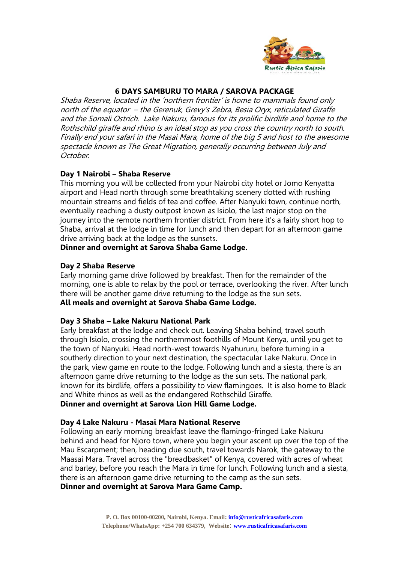

# **6 DAYS SAMBURU TO MARA / SAROVA PACKAGE**

Shaba Reserve, located in the 'northern frontier' is home to mammals found only north of the equator – the Gerenuk, Grevy's Zebra, Besia Oryx, reticulated Giraffe and the Somali Ostrich. Lake Nakuru, famous for its prolific birdlife and home to the Rothschild giraffe and rhino is an ideal stop as you cross the country north to south. Finally end your safari in the Masai Mara, home of the big 5 and host to the awesome spectacle known as The Great Migration, generally occurring between July and October.

### **Day 1 Nairobi – Shaba Reserve**

This morning you will be collected from your Nairobi city hotel or Jomo Kenyatta airport and Head north through some breathtaking scenery dotted with rushing mountain streams and fields of tea and coffee. After Nanyuki town, continue north, eventually reaching a dusty outpost known as Isiolo, the last major stop on the journey into the remote northern frontier district. From here it's a fairly short hop to Shaba, arrival at the lodge in time for lunch and then depart for an afternoon game drive arriving back at the lodge as the sunsets.

## **Dinner and overnight at Sarova Shaba Game Lodge.**

## **Day 2 Shaba Reserve**

Early morning game drive followed by breakfast. Then for the remainder of the morning, one is able to relax by the pool or terrace, overlooking the river. After lunch there will be another game drive returning to the lodge as the sun sets. **All meals and overnight at Sarova Shaba Game Lodge.** 

### **Day 3 Shaba – Lake Nakuru National Park**

Early breakfast at the lodge and check out. Leaving Shaba behind, travel south through Isiolo, crossing the northernmost foothills of Mount Kenya, until you get to the town of Nanyuki. Head north-west towards Nyahururu, before turning in a southerly direction to your next destination, the spectacular Lake Nakuru. Once in the park, view game en route to the lodge. Following lunch and a siesta, there is an afternoon game drive returning to the lodge as the sun sets. The national park, known for its birdlife, offers a possibility to view flamingoes. It is also home to Black and White rhinos as well as the endangered Rothschild Giraffe.

## **Dinner and overnight at Sarova Lion Hill Game Lodge.**

### **Day 4 Lake Nakuru - Masai Mara National Reserve**

Following an early morning breakfast leave the flamingo-fringed Lake Nakuru behind and head for Njoro town, where you begin your ascent up over the top of the Mau Escarpment; then, heading due south, travel towards Narok, the gateway to the Maasai Mara. Travel across the "breadbasket" of Kenya, covered with acres of wheat and barley, before you reach the Mara in time for lunch. Following lunch and a siesta, there is an afternoon game drive returning to the camp as the sun sets.

**Dinner and overnight at Sarova Mara Game Camp.**